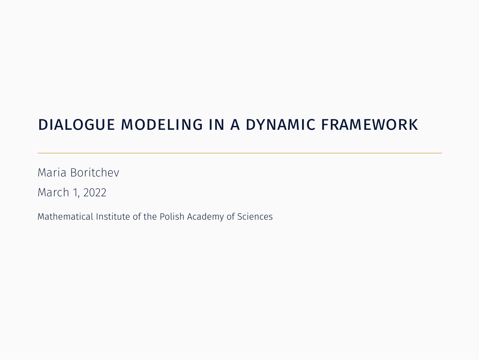### DIALOGUE MODELING IN A DYNAMIC FRAMEWORK

Maria Boritchev March 1, 2022

Mathematical Institute of the Polish Academy of Sciences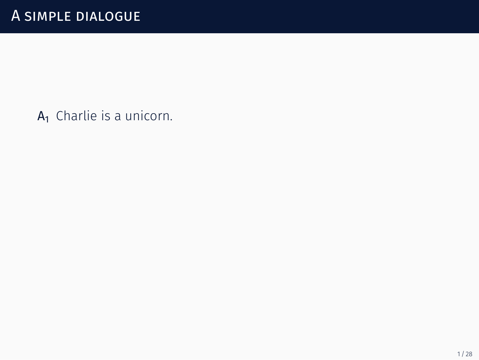$A_1$  Charlie is a unicorn.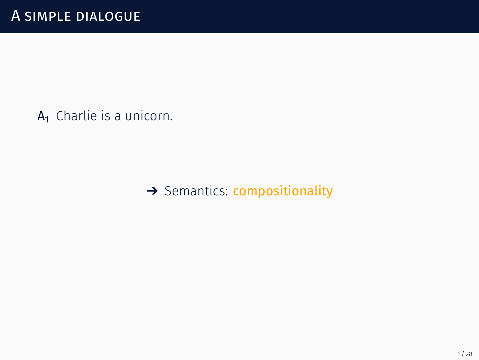A<sub>1</sub> Charlie is a unicorn.

Semantics: compositionality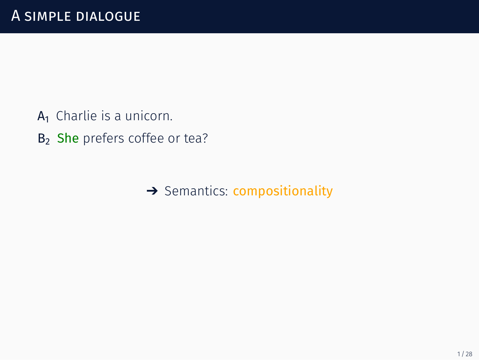- $A_1$  Charlie is a unicorn.
- B<sub>2</sub> She prefers coffee or tea?

→ Semantics: compositionality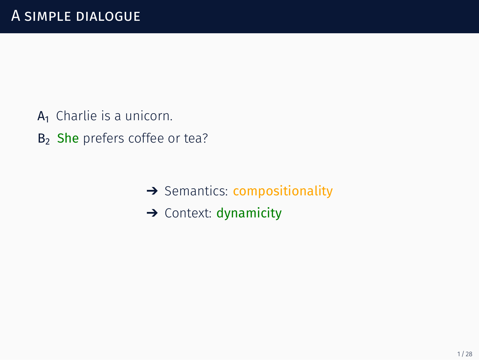- $A_1$  Charlie is a unicorn.
- B<sub>2</sub> She prefers coffee or tea?

- $\rightarrow$  Semantics: compositionality
- $\rightarrow$  Context: dynamicity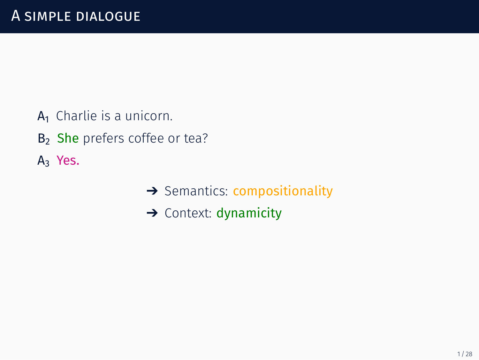- $A_1$  Charlie is a unicorn.
- B<sub>2</sub> She prefers coffee or tea?
- A<sub>3</sub> Yes.

- $\rightarrow$  Semantics: compositionality
- $\rightarrow$  Context: dynamicity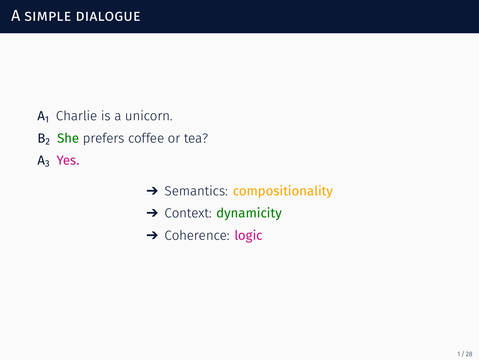- $A_1$  Charlie is a unicorn.
- B<sub>2</sub> She prefers coffee or tea?
- A<sub>3</sub> Yes.

- $\rightarrow$  Semantics: compositionality
- $\rightarrow$  Context: dynamicity
- → Coherence: logic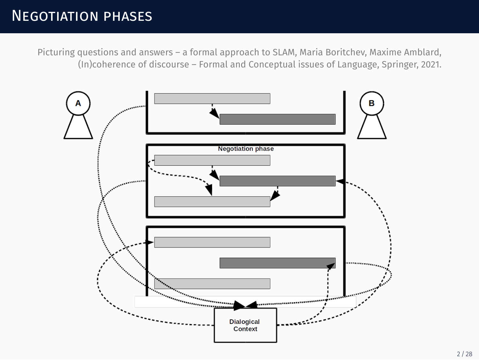### NEGOTIATION PHASES

Picturing questions and answers – a formal approach to SLAM, Maria Boritchev, Maxime Amblard, (In)coherence of discourse – Formal and Conceptual issues of Language, Springer, 2021.

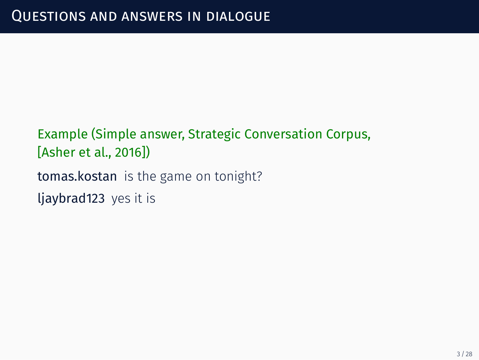### Example (Simple answer, Strategic Conversation Corpus, [[Asher et al., 2016](#page-73-0)])

tomas.kostan is the game on tonight?

ljaybrad123 yes it is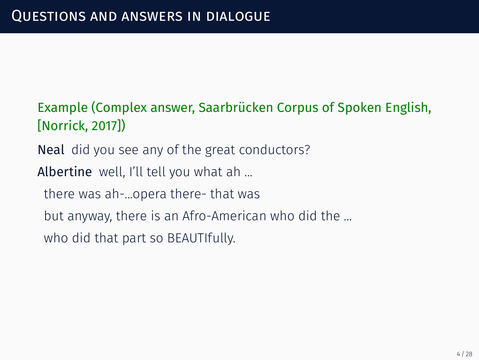- Example (Complex answer, Saarbrücken Corpus of Spoken English, [[Norrick, 2017\]](#page-74-0))
- Neal did you see any of the great conductors?
- Albertine well, I'll tell you what ah ...
	- there was ah-...opera there- that was
	- but anyway, there is an Afro-American who did the ...
	- who did that part so BEAUTIfully.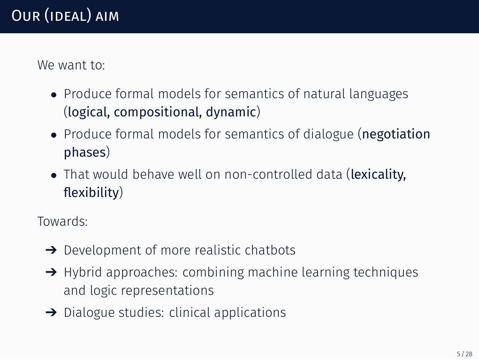We want to:

- *•* Produce formal models for semantics of natural languages (logical, compositional, dynamic)
- Produce formal models for semantics of dialogue (negotiation phases)
- That would behave well on non-controlled data (lexicality, flexibility)

Towards:

- **→** Development of more realistic chatbots
- ➔ Hybrid approaches: combining machine learning techniques and logic representations
- → Dialogue studies: clinical applications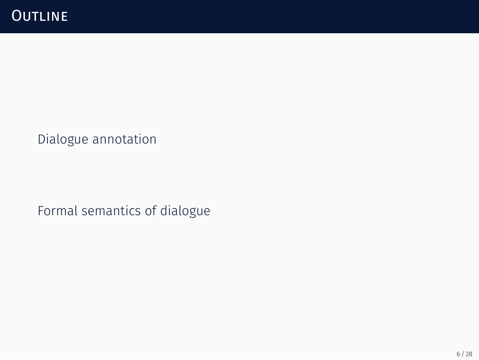[Dialogue annotation](#page-12-0)

[Formal semantics of dialogue](#page-16-0)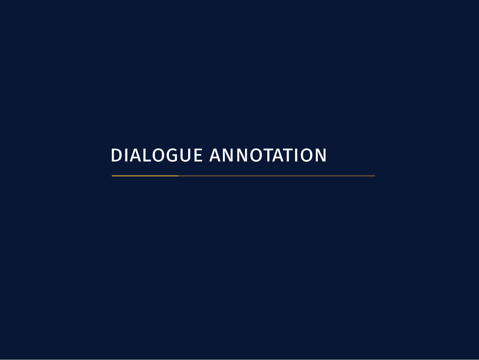# <span id="page-12-0"></span>DIALOGUE ANNOTATION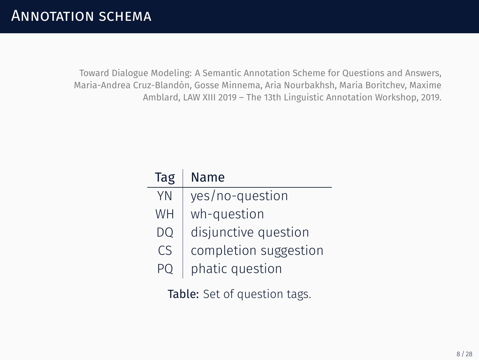Toward Dialogue Modeling: A Semantic Annotation Scheme for Questions and Answers, Maria-Andrea Cruz-Blandón, Gosse Minnema, Aria Nourbakhsh, Maria Boritchev, Maxime Amblard, LAW XIII 2019 – The 13th Linguistic Annotation Workshop, 2019.

| Tag       | Name                  |
|-----------|-----------------------|
| YN        | yes/no-question       |
| <b>WH</b> | wh-question           |
| DO        | disjunctive question  |
| CS        | completion suggestion |
| PO.       | phatic question       |

Table: Set of question tags.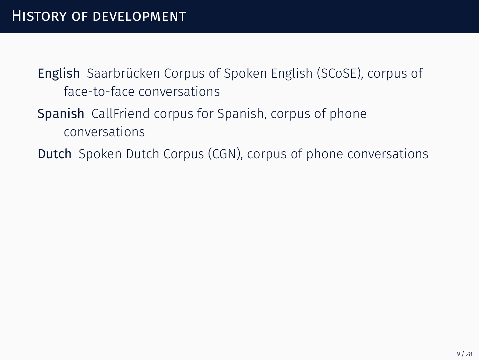English Saarbrücken Corpus of Spoken English (SCoSE), corpus of face-to-face conversations

### Spanish CallFriend corpus for Spanish, corpus of phone conversations

Dutch Spoken Dutch Corpus (CGN), corpus of phone conversations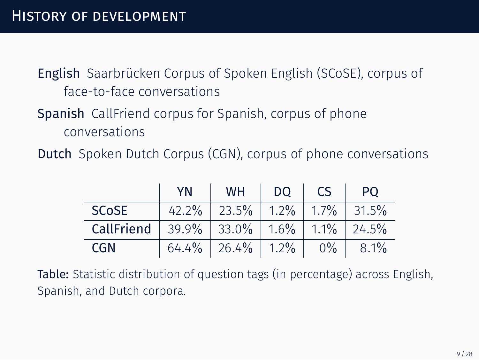English Saarbrücken Corpus of Spoken English (SCoSE), corpus of face-to-face conversations

### Spanish CallFriend corpus for Spanish, corpus of phone conversations

Dutch Spoken Dutch Corpus (CGN), corpus of phone conversations

|              | YN    | <b>WH</b>   | D <sub>O</sub> | CS      | PO.   |
|--------------|-------|-------------|----------------|---------|-------|
| <b>SCoSE</b> | 42.2% | 23.5%       | $1.2\%$        | $1.7\%$ | 31.5% |
| CallFriend   |       | 39.9% 33.0% | $1.6\%$        | $1.1\%$ | 24.5% |
| <b>CGN</b>   | 64.4% | 26.4%       | $1.2\%$        | $0\%$   | 8.1%  |

Table: Statistic distribution of question tags (in percentage) across English, Spanish, and Dutch corpora.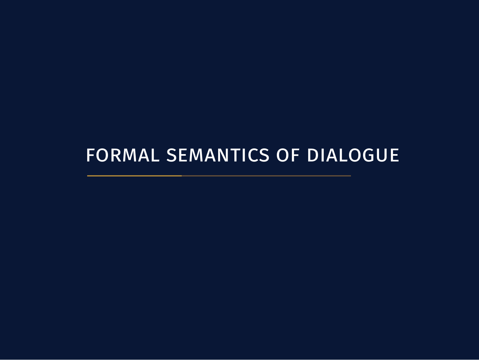## <span id="page-16-0"></span>FORMAL SEMANTICS OF DIALOGUE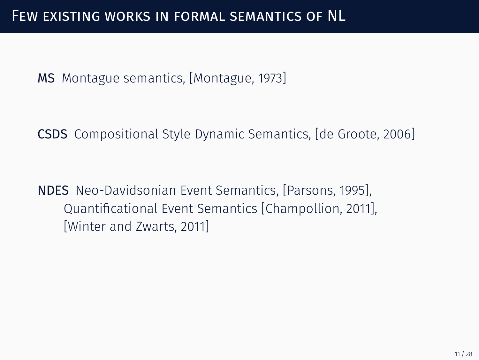CSDS Compositional Style Dynamic Semantics, [[de Groote, 2006](#page-73-1)]

NDES Neo-Davidsonian Event Semantics, [\[Parsons, 1995](#page-74-2)], Quantifcational Event Semantics [\[Champollion, 2011\]](#page-73-2), [\[Winter and Zwarts, 2011](#page-74-3)]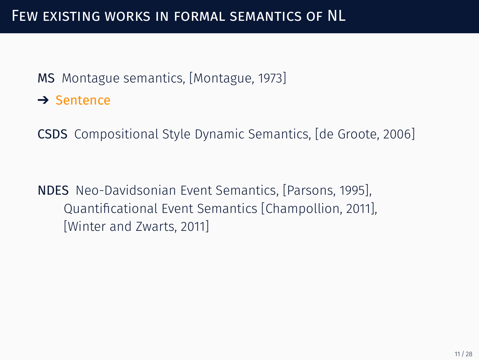**→ Sentence** 

CSDS Compositional Style Dynamic Semantics, [[de Groote, 2006](#page-73-1)]

NDES Neo-Davidsonian Event Semantics, [\[Parsons, 1995](#page-74-2)], Quantifcational Event Semantics [\[Champollion, 2011\]](#page-73-2), [\[Winter and Zwarts, 2011](#page-74-3)]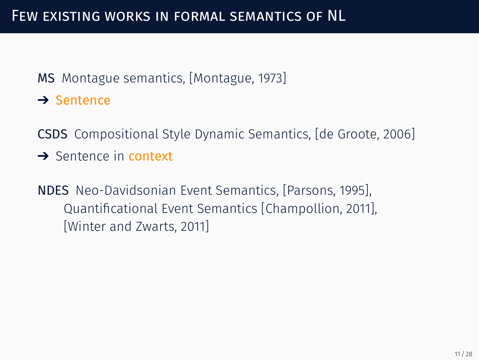**→ Sentence** 

CSDS Compositional Style Dynamic Semantics, [[de Groote, 2006](#page-73-1)]

**→** Sentence in context

NDES Neo-Davidsonian Event Semantics, [\[Parsons, 1995](#page-74-2)], Quantifcational Event Semantics [\[Champollion, 2011\]](#page-73-2), [\[Winter and Zwarts, 2011](#page-74-3)]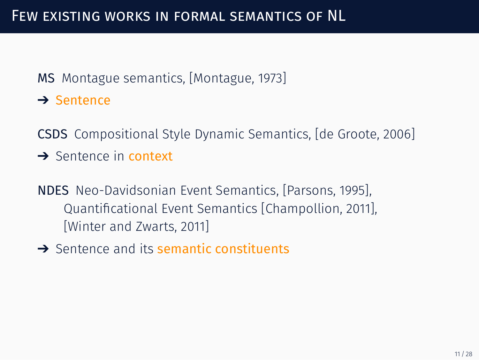**→ Sentence** 

CSDS Compositional Style Dynamic Semantics, [[de Groote, 2006](#page-73-1)]

- **→** Sentence in context
- NDES Neo-Davidsonian Event Semantics, [\[Parsons, 1995](#page-74-2)], Quantifcational Event Semantics [\[Champollion, 2011\]](#page-73-2), [\[Winter and Zwarts, 2011](#page-74-3)]
- $\rightarrow$  Sentence and its semantic constituents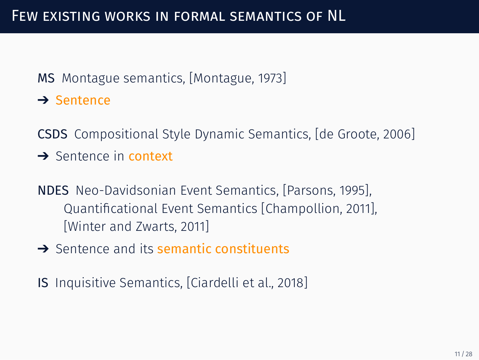**→ Sentence** 

CSDS Compositional Style Dynamic Semantics, [[de Groote, 2006](#page-73-1)]

- **→** Sentence in context
- NDES Neo-Davidsonian Event Semantics, [\[Parsons, 1995](#page-74-2)], Quantifcational Event Semantics [\[Champollion, 2011\]](#page-73-2), [\[Winter and Zwarts, 2011](#page-74-3)]
- $\rightarrow$  Sentence and its semantic constituents
- IS Inquisitive Semantics, [\[Ciardelli et al., 2018](#page-73-3)]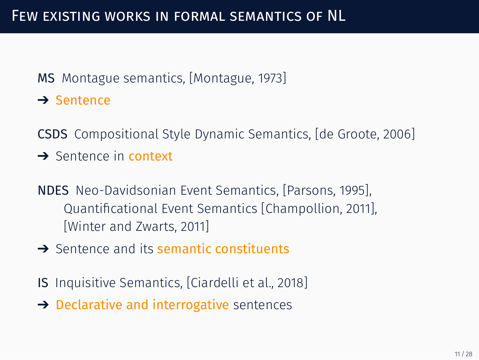**→ Sentence** 

CSDS Compositional Style Dynamic Semantics, [[de Groote, 2006](#page-73-1)]

- **→** Sentence in context
- NDES Neo-Davidsonian Event Semantics, [\[Parsons, 1995](#page-74-2)], Quantifcational Event Semantics [\[Champollion, 2011\]](#page-73-2), [\[Winter and Zwarts, 2011](#page-74-3)]
- $\rightarrow$  Sentence and its semantic constituents
- IS Inquisitive Semantics, [\[Ciardelli et al., 2018](#page-73-3)]
- **→ Declarative and interrogative sentences**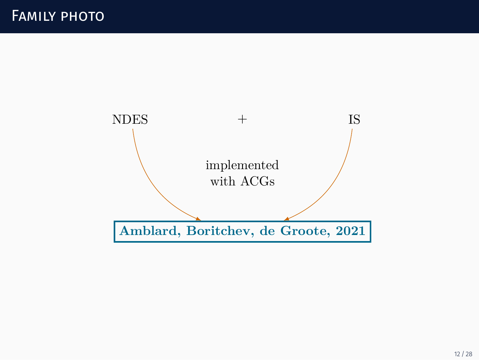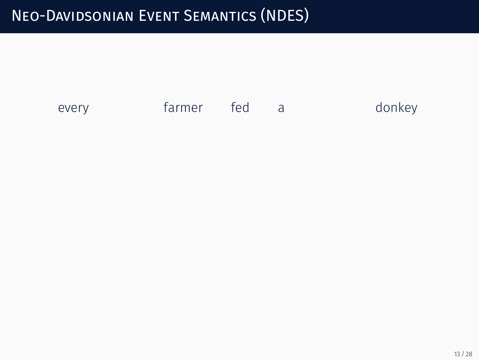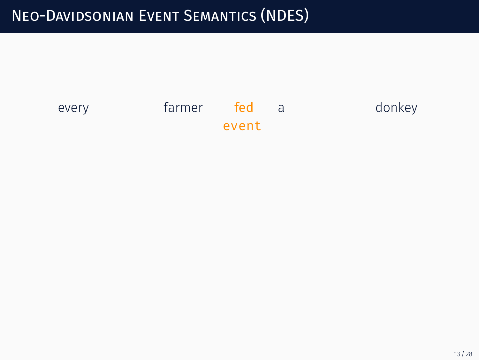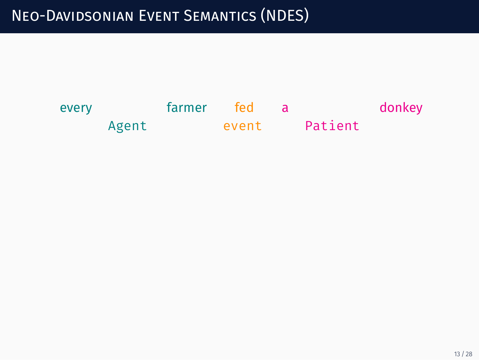### every farmer fed a donkey Agent event Patient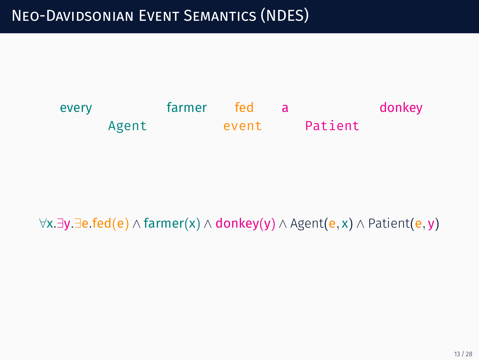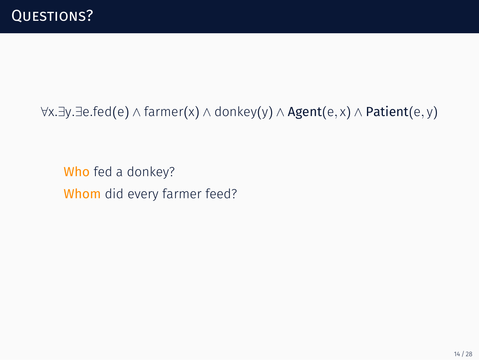Who fed a donkey? Whom did every farmer feed?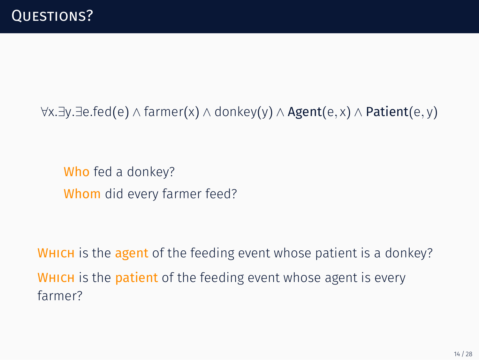Who fed a donkey? Whom did every farmer feed?

WHICH is the agent of the feeding event whose patient is a donkey? WHICH is the **patient** of the feeding event whose agent is every farmer?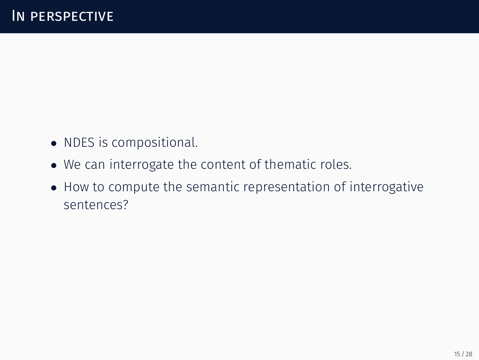- *•* NDES is compositional.
- *•* We can interrogate the content of thematic roles.
- *•* How to compute the semantic representation of interrogative sentences?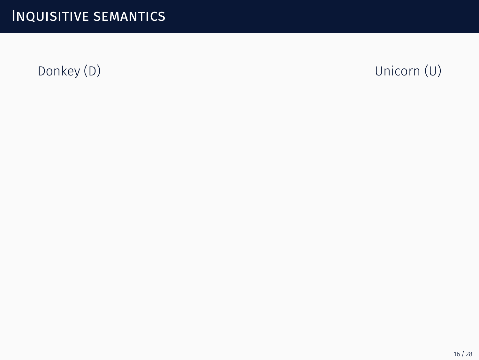Donkey (D) Unicorn (U)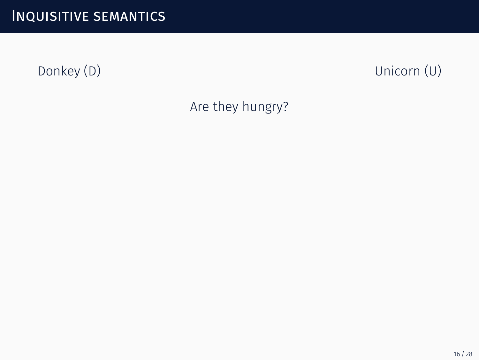

Are they hungry?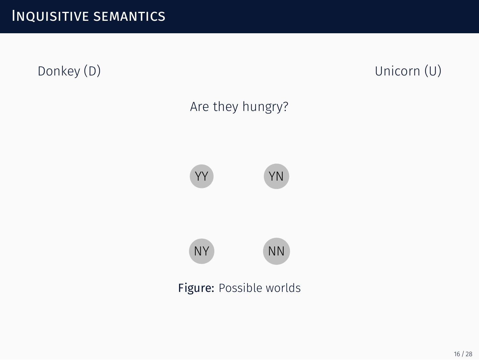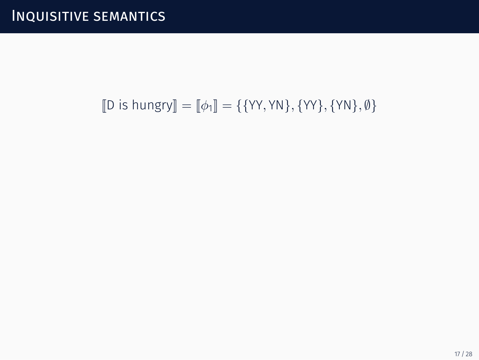### $\llbracket D$  is hungry $\rrbracket = \llbracket \phi_1 \rrbracket = \{\{YY, YN\}, \{YY\}, \{YN\}, \emptyset\}$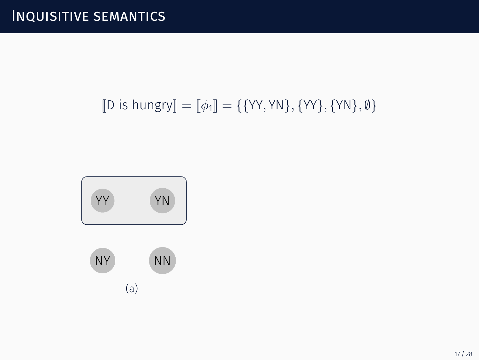# $[D \text{ is hungry}] = [\phi_1] = \{\{YY, YN\}, \{YY\}, \{YN\}, \emptyset\}$

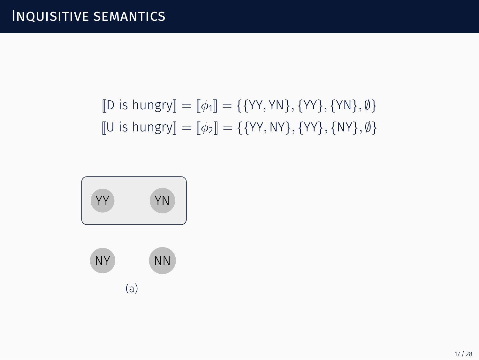$\llbracket D$  is hungry $\rrbracket = \llbracket \phi_1 \rrbracket = \{\{YY, YN\}, \{YY\}, \{YN\}, \emptyset\}$  $[[U \text{ is hungry}] = [[\phi_2]] = \{\{YY, NY\}, \{YY\}, \{NY\}, \emptyset\}$ 

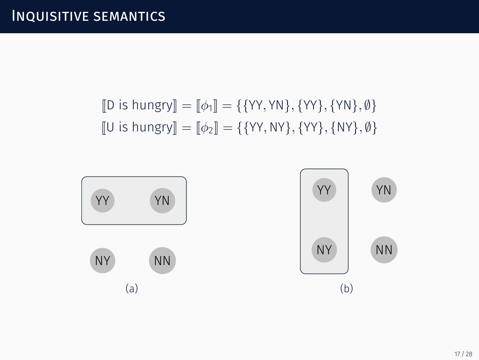$[D \text{ is hungry}] = [\phi_1] = \{\{YY, YN\}, \{YY\}, \{YN\}, \emptyset\}$  $[[U \text{ is hungry}] = [[\phi_2]] = \{\{YY, NY\}, \{YY\}, \{NY\}, \emptyset\}$ 

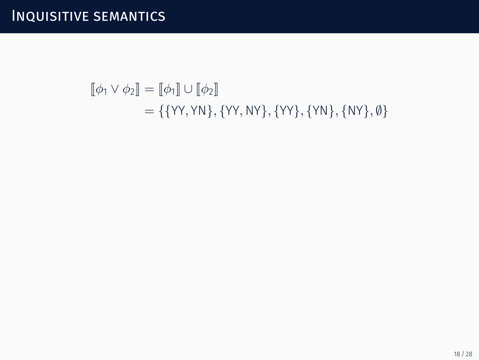$\llbracket \phi_1 \vee \phi_2 \rrbracket = \llbracket \phi_1 \rrbracket \cup \llbracket \phi_2 \rrbracket$ = *{{*YY*,* YN*}, {*YY*,*NY*}, {*YY*}, {*YN*}, {*NY*},* ∅*}*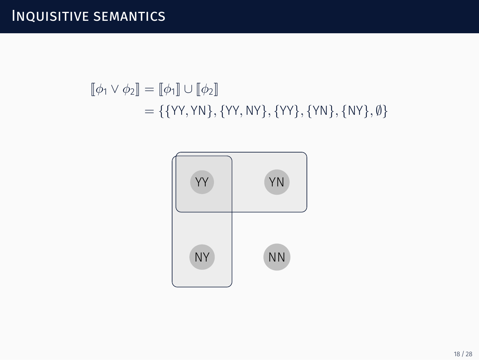# $[\![\phi_1 \vee \phi_2]\!] = [\![\phi_1]\!] \cup [\![\phi_2]\!]$ = *{{*YY*,* YN*}, {*YY*,*NY*}, {*YY*}, {*YN*}, {*NY*},* ∅*}*

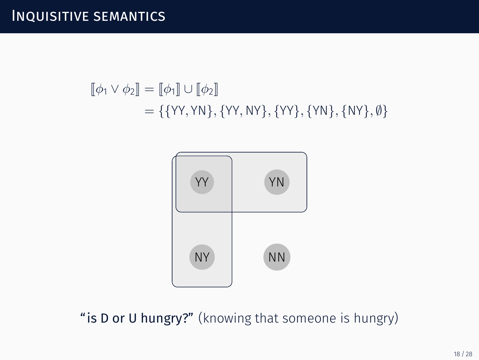# $[\![\phi_1 \vee \phi_2]\!] = [\![\phi_1]\!] \cup [\![\phi_2]\!]$ = *{{*YY*,* YN*}, {*YY*,*NY*}, {*YY*}, {*YN*}, {*NY*},* ∅*}*



"is D or U hungry?" (knowing that someone is hungry)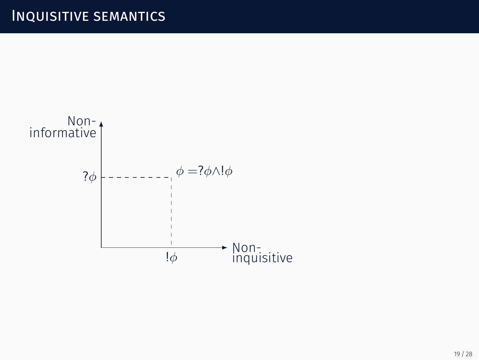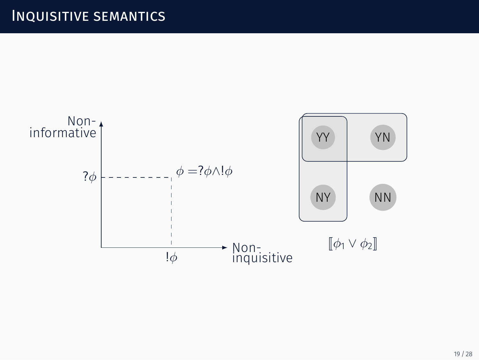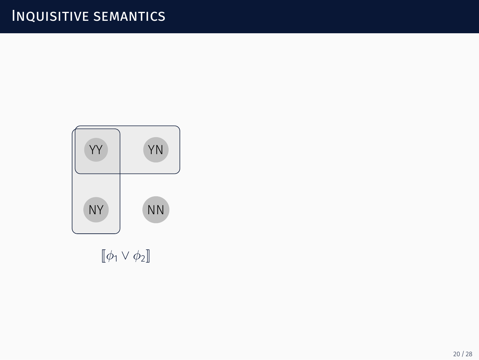

 $[\![\phi_1 \vee \phi_2]\!]$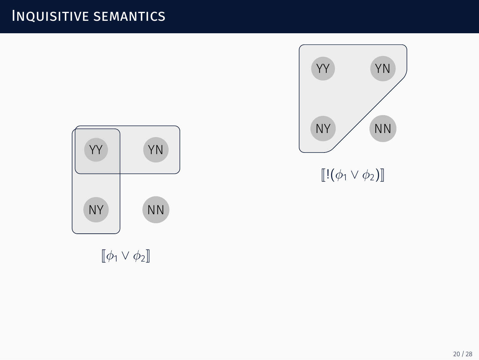

YY YN NY NN

 $[!(\phi_1 \vee \phi_2)]$ 

 $[\![\phi_1 \vee \phi_2]\!]$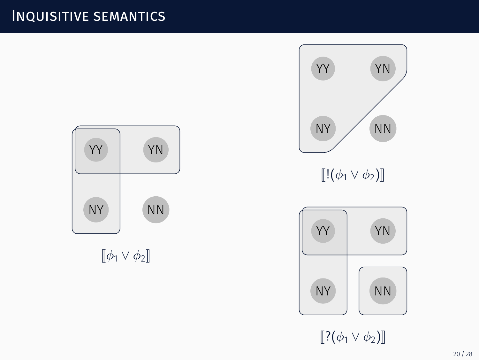

 $[\![\phi_1 \vee \phi_2]\!]$ 



 $[!(\phi_1 \vee \phi_2)]$ 



 $[[?(\phi_1 \vee \phi_2)]]$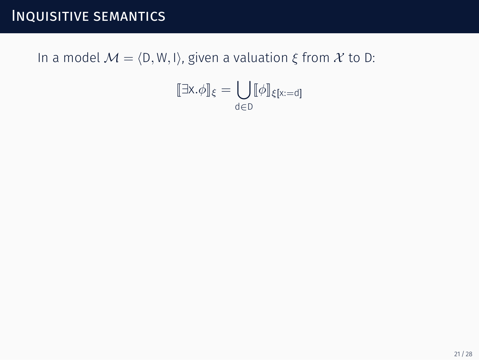#### In a model  $M = \langle D, W, I \rangle$ , given a valuation  $\xi$  from  $X$  to D:

$$
[\![\exists x.\phi]\!]_\xi = \bigcup_{d\in D} [\![\phi]\!]_{\xi[x:=d]}
$$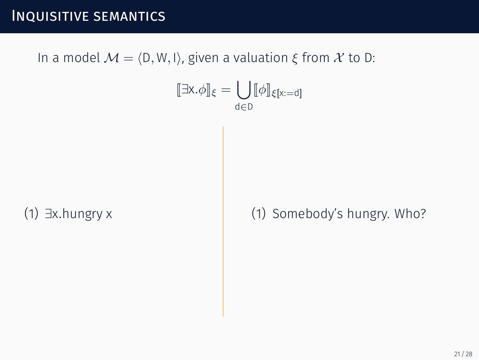#### In a model  $M = \langle D, W, I \rangle$ , given a valuation  $\xi$  from  $X$  to D:

$$
[\![\exists x.\phi]\!]_\xi = \bigcup_{d\in D} [\![\phi]\!]_{\xi[x:=d]}
$$

(1) ∃x*.*hungry x

(1) Somebody's hungry. Who?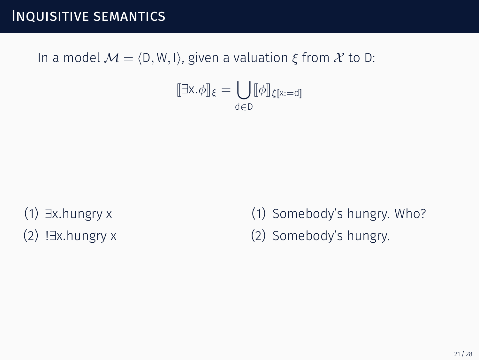### In a model  $M = \langle D, W, I \rangle$ , given a valuation  $\xi$  from  $X$  to D:

$$
[\![\exists x.\phi]\!]_\xi = \bigcup_{d\in D} [\![\phi]\!]_{\xi[x:=d]}
$$

(1) ∃x*.*hungry x

(2) !∃x*.*hungry x

(1) Somebody's hungry. Who?

(2) Somebody's hungry.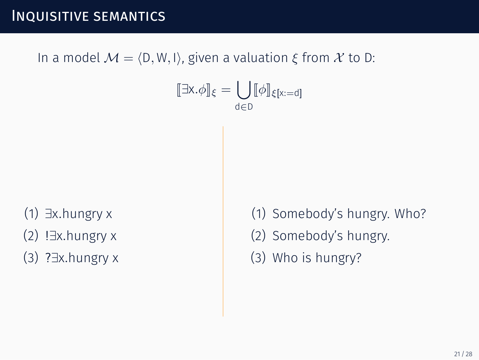#### In a model  $M = \langle D, W, I \rangle$ , given a valuation  $\xi$  from  $X$  to D:

$$
[\![\exists x.\phi]\!]_\xi = \bigcup_{d\in D} [\![\phi]\!]_{\xi[x:=d]}
$$

- (1) ∃x*.*hungry x
- (2) !∃x*.*hungry x
- (3) ?∃x*.*hungry x
- (1) Somebody's hungry. Who?
- (2) Somebody's hungry.
- (3) Who is hungry?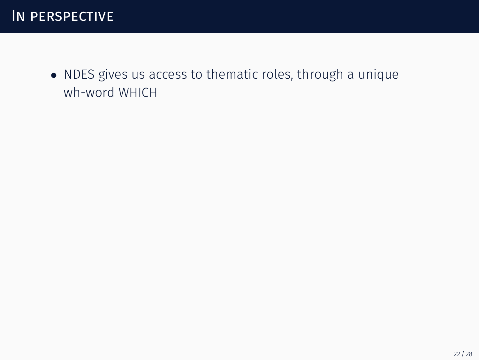*•* NDES gives us access to thematic roles, through a unique wh-word WHICH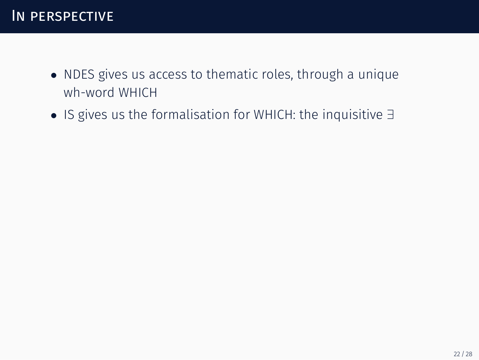#### IN PERSPECTIVE

- *•* NDES gives us access to thematic roles, through a unique wh-word WHICH
- *•* IS gives us the formalisation for WHICH: the inquisitive ∃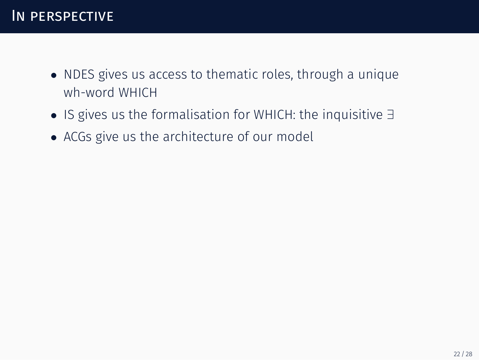- *•* NDES gives us access to thematic roles, through a unique wh-word WHICH
- *•* IS gives us the formalisation for WHICH: the inquisitive ∃
- *•* ACGs give us the architecture of our model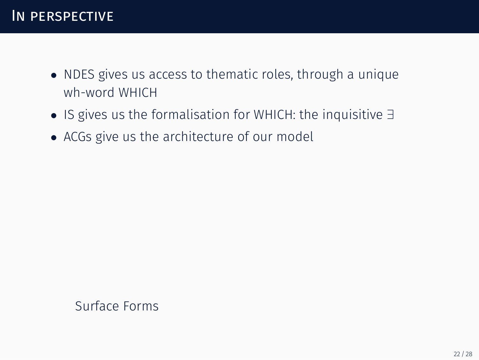- *•* NDES gives us access to thematic roles, through a unique wh-word WHICH
- *•* IS gives us the formalisation for WHICH: the inquisitive ∃
- *•* ACGs give us the architecture of our model

Surface Forms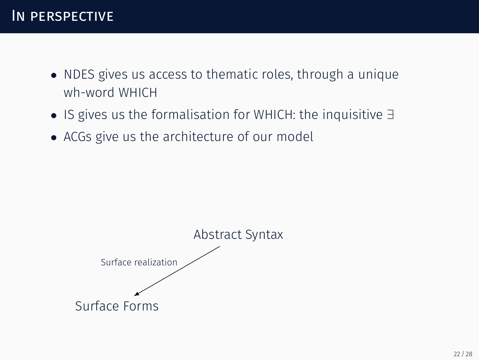#### IN PERSPECTIVE

- *•* NDES gives us access to thematic roles, through a unique wh-word WHICH
- *•* IS gives us the formalisation for WHICH: the inquisitive ∃
- *•* ACGs give us the architecture of our model

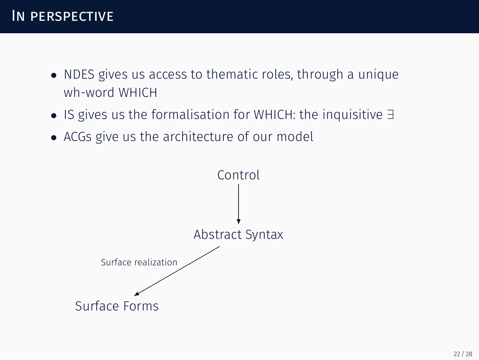- *•* NDES gives us access to thematic roles, through a unique wh-word WHICH
- *•* IS gives us the formalisation for WHICH: the inquisitive ∃
- *•* ACGs give us the architecture of our model

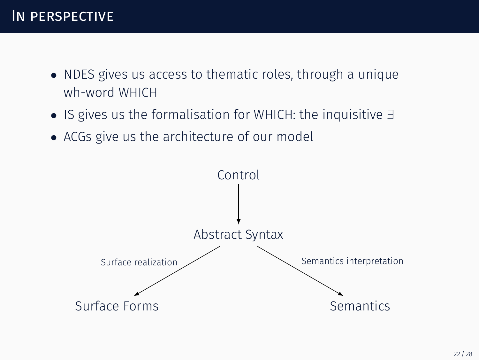- *•* NDES gives us access to thematic roles, through a unique wh-word WHICH
- *•* IS gives us the formalisation for WHICH: the inquisitive ∃
- *•* ACGs give us the architecture of our model

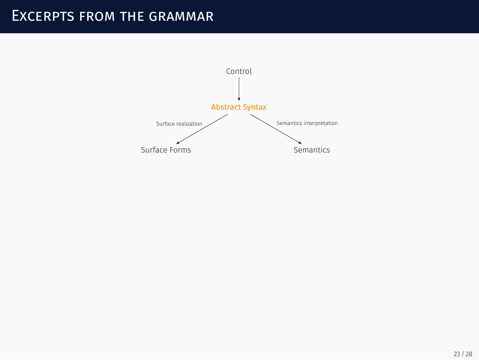# EXCERPTS FROM THE GRAMMAR

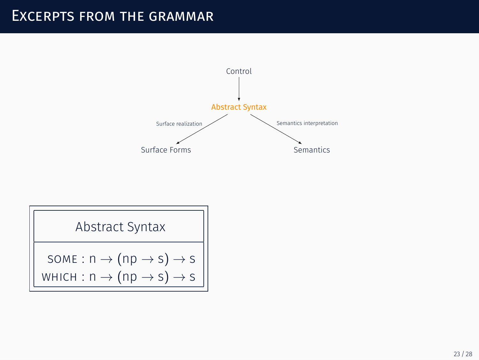# EXCERPTS FROM THE GRAMMAR



| Abstract Syntax                                          |
|----------------------------------------------------------|
| SOME : $n \rightarrow (np \rightarrow s) \rightarrow s$  |
| WHICH : $n \rightarrow (np \rightarrow s) \rightarrow s$ |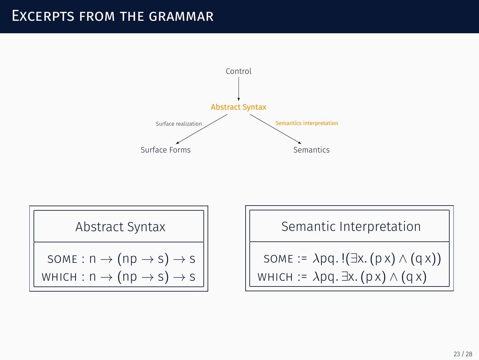#### EXCERPTS FROM THE GRAMMAR





Semantic Interpretation

SOME :=  $\lambda$ pq. !( $\exists$ x. (px)  $\wedge$  (qx)) WHICH :=  $\lambda$ pq.  $\exists$ x. (p x)  $\wedge$  (q x)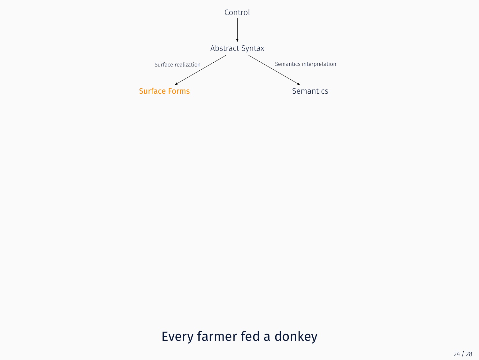

# Every farmer fed a donkey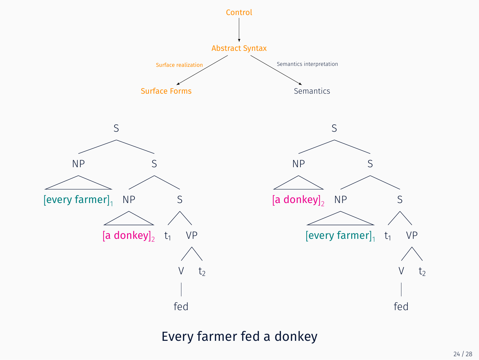

Every farmer fed a donkey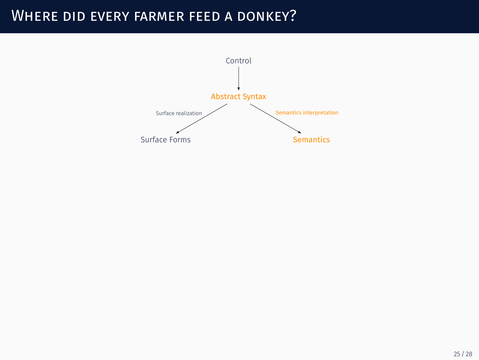# WHERE DID EVERY FARMER FEED A DONKEY?

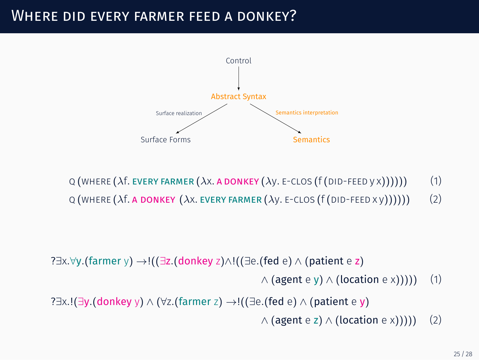#### WHERE DID EVERY FARMER FEED A DONKEY?



- Q (WHERE (λf*.* EVERY FARMER (λx*.* A DONKEY (λy*.* E-CLOS (f (DID-FEED y x)))))) (1)
- Q (WHERE (λf*.* A DONKEY (λx*.* EVERY FARMER (λy*.* E-CLOS (f (DID-FEED x y)))))) (2)

?∃x*.*∀y*.*(farmer y) →!((∃z*.*(donkey z)∧!((∃e*.*(fed e) ∧ (patient e z)

 $\wedge$  (agent e y)  $\wedge$  (location e x))))) (1)

?∃x*.*!(∃y*.*(donkey y) ∧ (∀z*.*(farmer z) →!((∃e*.*(fed e) ∧ (patient e y)

 $\wedge$  (agent e z)  $\wedge$  (location e x))))) (2)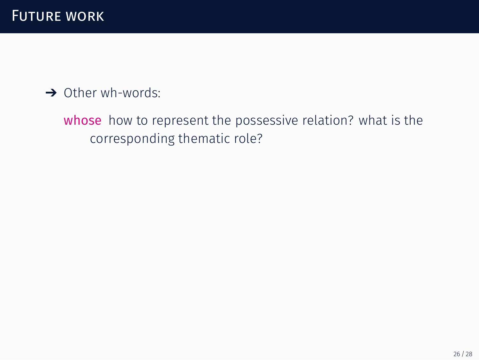whose how to represent the possessive relation? what is the corresponding thematic role?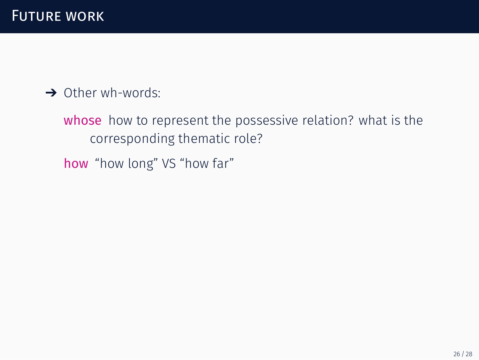whose how to represent the possessive relation? what is the corresponding thematic role?

how "how long" VS "how far"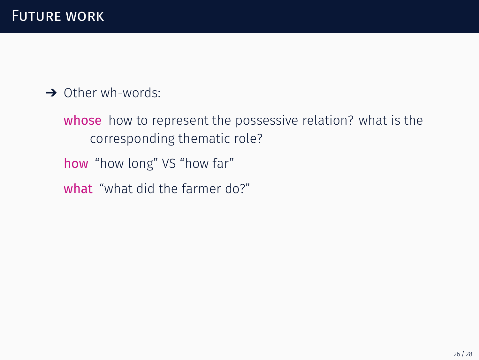whose how to represent the possessive relation? what is the corresponding thematic role?

how "how long" VS "how far"

what "what did the farmer do?"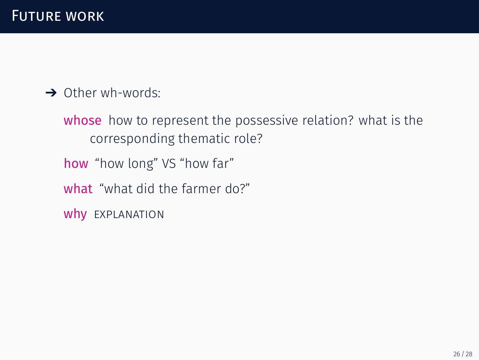whose how to represent the possessive relation? what is the corresponding thematic role?

how "how long" VS "how far"

what "what did the farmer do?"

why EXPLANATION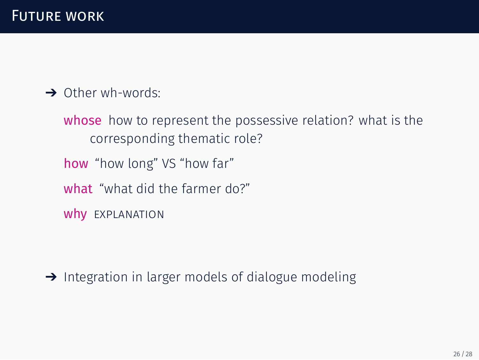whose how to represent the possessive relation? what is the corresponding thematic role?

how "how long" VS "how far"

what "what did the farmer do?"

why EXPLANATION

➔ Integration in larger models of dialogue modeling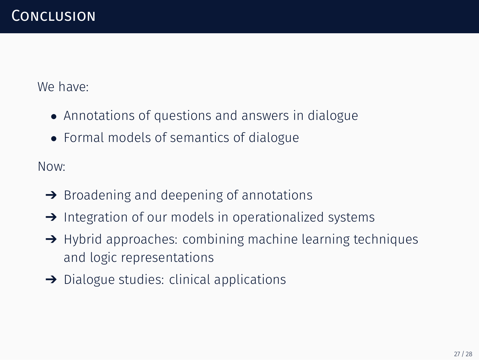We have:

- *•* Annotations of questions and answers in dialogue
- *•* Formal models of semantics of dialogue

Now:

- $\rightarrow$  Broadening and deepening of annotations
- ➔ Integration of our models in operationalized systems
- ➔ Hybrid approaches: combining machine learning techniques and logic representations
- $\rightarrow$  Dialogue studies: clinical applications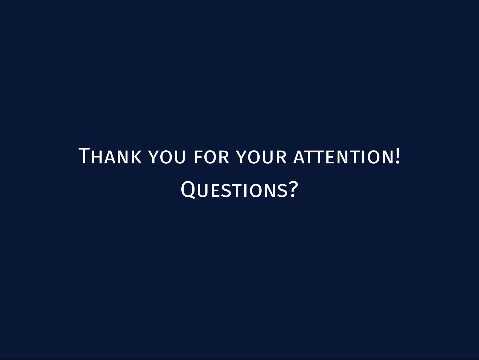## THANK YOU FOR YOUR ATTENTION! QUESTIONS?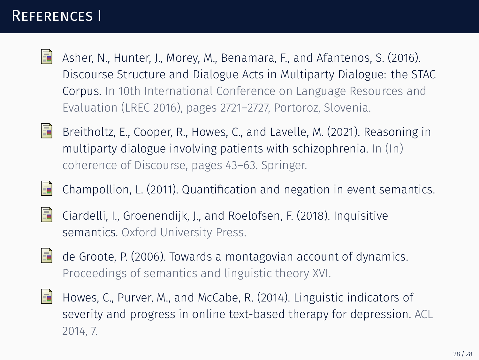## REFERENCES I

晶 Asher, N., Hunter, J., Morey, M., Benamara, F., and Afantenos, S. (2016). Discourse Structure and Dialogue Acts in Multiparty Dialogue: the STAC Corpus. In 10th International Conference on Language Resources and Evaluation (LREC 2016), pages 2721–2727, Portoroz, Slovenia.



- Breitholtz, E., Cooper, R., Howes, C., and Lavelle, M. (2021). Reasoning in multiparty dialogue involving patients with schizophrenia. In (In) coherence of Discourse, pages 43–63. Springer.
- E. Champollion, L. (2011). Quantifcation and negation in event semantics.



Ciardelli, I., Groenendijk, J., and Roelofsen, F. (2018). Inquisitive semantics. Oxford University Press.



de Groote, P. (2006). Towards a montagovian account of dynamics. Proceedings of semantics and linguistic theory XVI.



Howes, C., Purver, M., and McCabe, R. (2014). Linguistic indicators of severity and progress in online text-based therapy for depression. ACL 2014, 7.